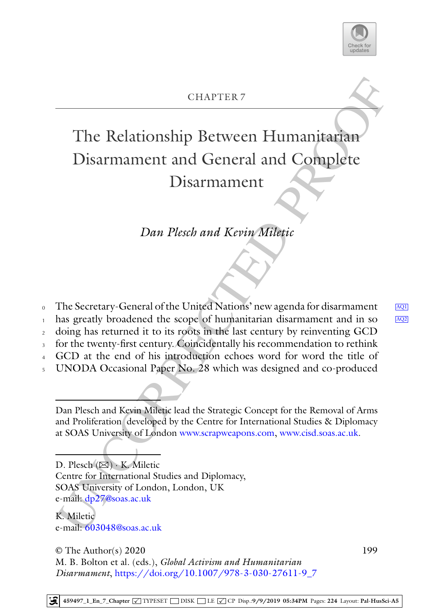

# The Relationship Between Humanitarian Disarmament and General and Complete Disarmament

*Dan Plesch and Kevin Miletic*

- CHAPTER 7<br>
The Relationship Between Humanitarian<br>
Disarmament and General and Complete<br>
Disarmament<br>
Disarmament<br>
Dan Plesch and Kevin Miletic<br>
Dan Plesch and Kevin Miletic<br>
The Secretary-General of the United Nations' new  $\overline{C}$  The Secretary-General of the United Nations' new agenda for disarmament  $\overline{A\Omega}$ has greatly broadened the scope of humanitarian disarmament and in so  $\frac{A\text{Q2}}{2}$ <sup>2</sup> doing has returned it to its roots in the last century by reinventing GCD <sup>3</sup> for the twenty-first century. Coincidentally his recommendation to rethink <sup>4</sup> GCD at the end of his introduction echoes word for word the title of
- <sup>5</sup> UNODA Occasional Paper No. 28 which was designed and co-produced

Dan Plesch and Kevin Miletic lead the Strategic Concept for the Removal of Arms and Proliferation developed by the Centre for International Studies & Diplomacy at SOAS University of London www.scrapweapons.com, [www.cisd.soas.ac.uk.](http://www.cisd.soas.ac.uk)

D. Plesch (B) · K. Miletic Centre for International Studies and Diplomacy, SOAS University of London, London, UK e-mail: dp27@soas.ac.uk

K. Miletic e-mail: 603048@soas.ac.uk

© The Author(s) 2020 M. B. Bolton et al. (eds.), *Global Activism and Humanitarian Disarmament*, [https://doi.org/10.1007/978-3-030-27611-9\\_7](https://doi.org/10.1007/978-3-030-27611-9_7) <span id="page-0-1"></span><span id="page-0-0"></span>199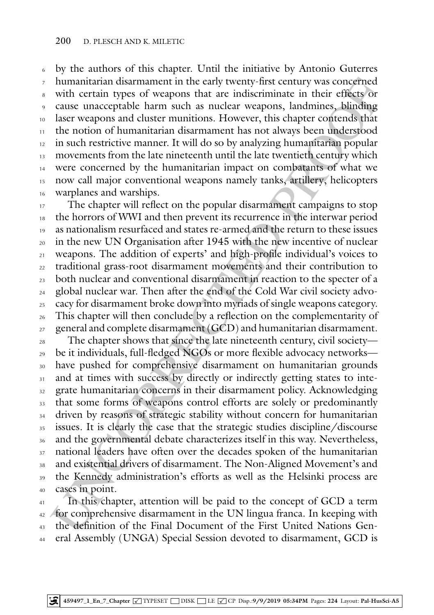by the authors of this chapter. Until the initiative by Antonio Guterres humanitarian disarmament in the early twenty-first century was concerned with certain types of weapons that are indiscriminate in their effects or cause unacceptable harm such as nuclear weapons, landmines, blinding laser weapons and cluster munitions. However, this chapter contends that the notion of humanitarian disarmament has not always been understood in such restrictive manner. It will do so by analyzing humanitarian popular 13 movements from the late nineteenth until the late twentieth century which were concerned by the humanitarian impact on combatants of what we now call major conventional weapons namely tanks, artillery, helicopters warplanes and warships.

 The chapter will reflect on the popular disarmament campaigns to stop the horrors of WWI and then prevent its recurrence in the interwar period as nationalism resurfaced and states re-armed and the return to these issues in the new UN Organisation after 1945 with the new incentive of nuclear weapons. The addition of experts' and high-profile individual's voices to traditional grass-root disarmament movements and their contribution to both nuclear and conventional disarmament in reaction to the specter of a global nuclear war. Then after the end of the Cold War civil society advo- cacy for disarmament broke down into myriads of single weapons category. This chapter will then conclude by a reflection on the complementarity of general and complete disarmament (GCD) and humanitarian disarmament.

humanitarian disarrament in the cally twenty-first century was concerned with certain types of weapons that are indiscriminate in their effects or cause unacceptable harm such as nuclear weapons, landmines, slinding laser The chapter shows that since the late nineteenth century, civil society— be it individuals, full-fledged NGOs or more flexible advocacy networks— have pushed for comprehensive disarmament on humanitarian grounds 31 and at times with success by directly or indirectly getting states to inte-32 grate humanitarian concerns in their disarmament policy. Acknowledging 33 that some forms of weapons control efforts are solely or predominantly <sup>34</sup> driven by reasons of strategic stability without concern for humanitarian issues. It is clearly the case that the strategic studies discipline/discourse and the governmental debate characterizes itself in this way. Nevertheless, national leaders have often over the decades spoken of the humanitarian and existential drivers of disarmament. The Non-Aligned Movement's and the Kennedy administration's efforts as well as the Helsinki process are cases in point.

 In this chapter, attention will be paid to the concept of GCD a term for comprehensive disarmament in the UN lingua franca. In keeping with the definition of the Final Document of the First United Nations Gen-eral Assembly (UNGA) Special Session devoted to disarmament, GCD is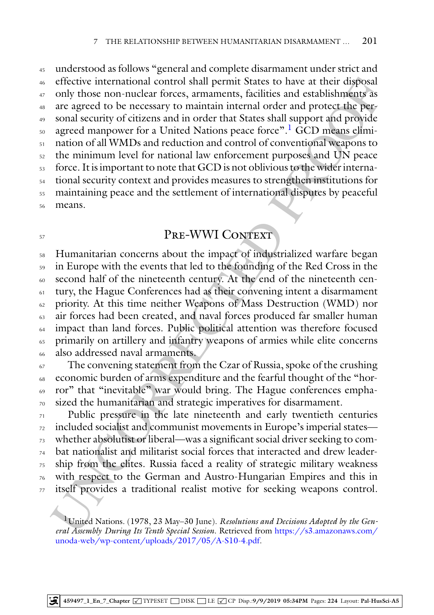effective international controls hall permit States to have at their disposed<br>only those non-nuclear forces, arraments, fiedlities and establishments as<br>are agreed to be necessary to maintain internal order and protoct.<br>th understood as follows "general and complete disarmament under strict and effective international control shall permit States to have at their disposal only those non-nuclear forces, armaments, facilities and establishments as are agreed to be necessary to maintain internal order and protect the per- sonal security of citizens and in order that States shall support and provide  $_{50}$  agreed manpower for a United Nations peace force".  $_{1}^{1}$  GCD means elimi- nation of all WMDs and reduction and control of conventional weapons to the minimum level for national law enforcement purposes and UN peace force. It is important to note that GCD is not oblivious to the wider interna- tional security context and provides measures to strengthen institutions for maintaining peace and the settlement of international disputes by peaceful means.

# Pre-WWI Context

 Humanitarian concerns about the impact of industrialized warfare began in Europe with the events that led to the founding of the Red Cross in the second half of the nineteenth century. At the end of the nineteenth cen- tury, the Hague Conferences had as their convening intent a disarmament priority. At this time neither Weapons of Mass Destruction (WMD) nor air forces had been created, and naval forces produced far smaller human <sup>64</sup> impact than land forces. Public political attention was therefore focused primarily on artillery and infantry weapons of armies while elite concerns also addressed naval armaments.

 The convening statement from the Czar of Russia, spoke of the crushing economic burden of arms expenditure and the fearful thought of the "hor- ror" that "inevitable" war would bring. The Hague conferences empha-sized the humanitarian and strategic imperatives for disarmament.

 Public pressure in the late nineteenth and early twentieth centuries included socialist and communist movements in Europe's imperial states— whether absolutist or liberal—was a significant social driver seeking to com- bat nationalist and militarist social forces that interacted and drew leader- ship from the elites. Russia faced a reality of strategic military weakness with respect to the German and Austro-Hungarian Empires and this in itself provides a traditional realist motive for seeking weapons control.

<span id="page-2-0"></span><sup>1</sup>United Nations. (1978, 23 May–30 June). *Resolutions and Decisions Adopted by the General Assembly During Its Tenth Special Session*. Retrieved from [https://s3.amazonaws.com/](https://s3.amazonaws.com/unoda-web/wp-content/uploads/2017/05/A-S10-4.pdf) [unoda-web/wp-content/uploads/2017/05/A-S10-4.pdf.](https://s3.amazonaws.com/unoda-web/wp-content/uploads/2017/05/A-S10-4.pdf)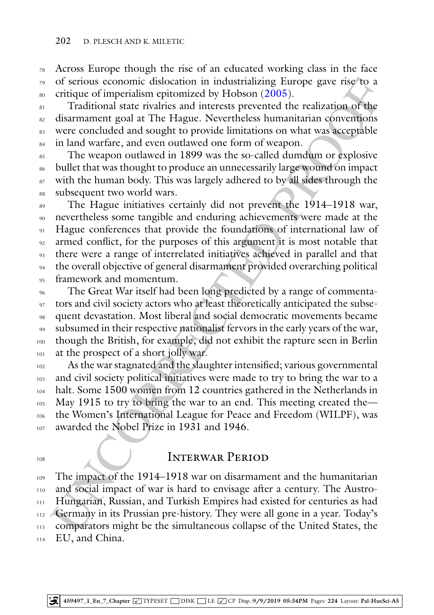### 202 D. PLESCH AND K. MILETIC

 Across Europe though the rise of an educated working class in the face of serious economic dislocation in industrializing Europe gave rise to a critique of imperialism epitomized by Hobson [\(2005\)](#page-23-0).

 Traditional state rivalries and interests prevented the realization of the disarmament goal at The Hague. Nevertheless humanitarian conventions 83 were concluded and sought to provide limitations on what was acceptable <sup>84</sup> in land warfare, and even outlawed one form of weapon.

 The weapon outlawed in 1899 was the so-called dumdum or explosive bullet that was thought to produce an unnecessarily large wound on impact <sup>87</sup> with the human body. This was largely adhered to by all sides through the subsequent two world wars.

of serious conomic dislocation in industrializing Europe gave rise to a derivation comoincidiscation in industrializing Europe gave rise to a Traditional state rivalines and interests presented the realization of the disr <sup>89</sup> The Hague initiatives certainly did not prevent the 1914–1918 war, nevertheless some tangible and enduring achievements were made at the Hague conferences that provide the foundations of international law of 92 armed conflict, for the purposes of this argument it is most notable that there were a range of interrelated initiatives achieved in parallel and that the overall objective of general disarmament provided overarching political framework and momentum.

96 The Great War itself had been long predicted by a range of commenta- tors and civil society actors who at least theoretically anticipated the subse- quent devastation. Most liberal and social democratic movements became subsumed in their respective nationalist fervors in the early years of the war, though the British, for example, did not exhibit the rapture seen in Berlin at the prospect of a short jolly war.

 As the war stagnated and the slaughter intensified; various governmental and civil society political initiatives were made to try to bring the war to a halt. Some 1500 women from 12 countries gathered in the Netherlands in 105 May 1915 to try to bring the war to an end. This meeting created the— the Women's International League for Peace and Freedom (WILPF), was 107 awarded the Nobel Prize in 1931 and 1946.

# 108 INTERWAR PERIOD

 The impact of the 1914–1918 war on disarmament and the humanitarian and social impact of war is hard to envisage after a century. The Austro- Hungarian, Russian, and Turkish Empires had existed for centuries as had Germany in its Prussian pre-history. They were all gone in a year. Today's comparators might be the simultaneous collapse of the United States, the EU, and China.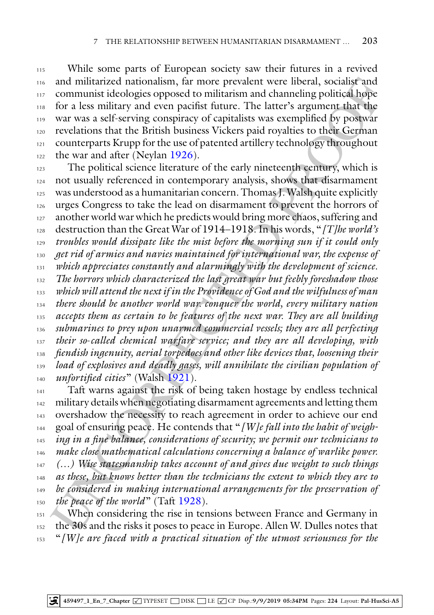While some parts of European society saw their futures in a revived and militarized nationalism, far more prevalent were liberal, socialist and communist ideologies opposed to militarism and channeling political hope for a less military and even pacifist future. The latter's argument that the war was a self-serving conspiracy of capitalists was exemplified by postwar revelations that the British business Vickers paid royalties to their German counterparts Krupp for the use of patented artillery technology throughout 122 the war and after (Neylan [1926\)](#page-23-1).

and militarized nationalism, far more prevalent were liberal, socialist and<br>nonmatistic and consistering oppiced to militarism and channeling political hope<br>for a less military and even pacifies future. The latter's argum The political science literature of the early nineteenth century, which is not usually referenced in contemporary analysis, shows that disarmament was understood as a humanitarian concern. Thomas J. Walsh quite explicitly urges Congress to take the lead on disarmament to prevent the horrors of another world war which he predicts would bring more chaos, suffering and destruction than the Great War of 1914–1918. In his words, "*[T]he world's troubles would dissipate like the mist before the morning sun if it could only get rid of armies and navies maintained for international war, the expense of which appreciates constantly and alarmingly with the development of science. The horrors which characterized the last great war but feebly foreshadow those which will attend the next if in the Providence of God and the wilfulness of man there should be another world war. conquer the world, every military nation accepts them as certain to be features of the next war. They are all building submarines to prey upon unarmed commercial vessels; they are all perfecting their so*-*called chemical warfare service; and they are all developing, with fiendish ingenuity, aerial torpedoes and other like devices that, loosening their load of explosives and deadly gases, will annihilate the civilian population of unfortified cities*" (Walsh 1921).

 Taft warns against the risk of being taken hostage by endless technical military details when negotiating disarmament agreements and letting them overshadow the necessity to reach agreement in order to achieve our end goal of ensuring peace. He contends that "*[W]e fall into the habit of weigh- ing in a fine balance, considerations of security; we permit our technicians to make close mathematical calculations concerning a balance of warlike power. (…) Wise statesmanship takes account of and gives due weight to such things as these, but knows better than the technicians the extent to which they are to be considered in making international arrangements for the preservation of the peace of the world*" (Taft 1928).

 When considering the rise in tensions between France and Germany in the 30s and the risks it poses to peace in Europe. Allen W. Dulles notes that

"*[W]e are faced with a practical situation of the utmost seriousness for the*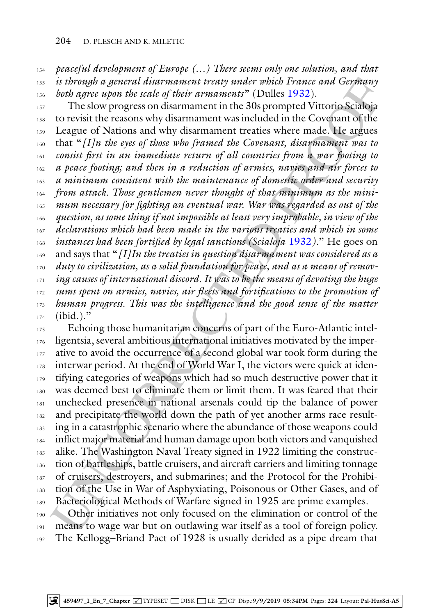*peaceful development of Europe (…) There seems only one solution, and that is through a general disarmament treaty under which France and Germany both agree upon the scale of their armaments*" (Dulles 1932).

is through a general distantment treaty under which France and Germany<br>
is tho agree upon the scale of their armaments" (Dulles 1932).<br>
The slow progress on disarmament in the 30s prompted Vittoria Scale<br>is to revisit the The slow progress on disarmament in the 30s prompted Vittorio Scialoja to revisit the reasons why disarmament was included in the Covenant of the League of Nations and why disarmament treaties where made. He argues that "*[I]n the eyes of those who framed the Covenant, disarmament was to consist first in an immediate return of all countries from a war footing to a peace footing; and then in a reduction of armies, navies and air forces to a minimum consistent with the maintenance of domestic order and security from attack. Those gentlemen never thought of that minimum as the mini- mum necessary for fighting an eventual war. War was regarded as out of the question, as some thing if not impossible at least very improbable, in view of the declarations which had been made in the various treaties and which in some instances had been fortified by legal sanctions (Scialoja* [1932](#page-23-5)*).*" He goes on and says that "*[I]In the treaties in question disarmament was considered as a duty to civilization, as a solid foundation for peace, and as a means of remov- ing causes of international discord. It was to be the means of devoting the huge sums spent on armies, navies, air fleets and fortifications to the promotion of human progress. This was the intelligence and the good sense of the matter* (ibid.)."

 Echoing those humanitarian concerns of part of the Euro-Atlantic intel- ligentsia, several ambitious international initiatives motivated by the imper- ative to avoid the occurrence of a second global war took form during the interwar period. At the end of World War I, the victors were quick at iden- tifying categories of weapons which had so much destructive power that it was deemed best to eliminate them or limit them. It was feared that their unchecked presence in national arsenals could tip the balance of power and precipitate the world down the path of yet another arms race result- ing in a catastrophic scenario where the abundance of those weapons could inflict major material and human damage upon both victors and vanquished alike. The Washington Naval Treaty signed in 1922 limiting the construc- tion of battleships, battle cruisers, and aircraft carriers and limiting tonnage of cruisers, destroyers, and submarines; and the Protocol for the Prohibi- tion of the Use in War of Asphyxiating, Poisonous or Other Gases, and of Bacteriological Methods of Warfare signed in 1925 are prime examples. Other initiatives not only focused on the elimination or control of the

 means to wage war but on outlawing war itself as a tool of foreign policy. The Kellogg–Briand Pact of 1928 is usually derided as a pipe dream that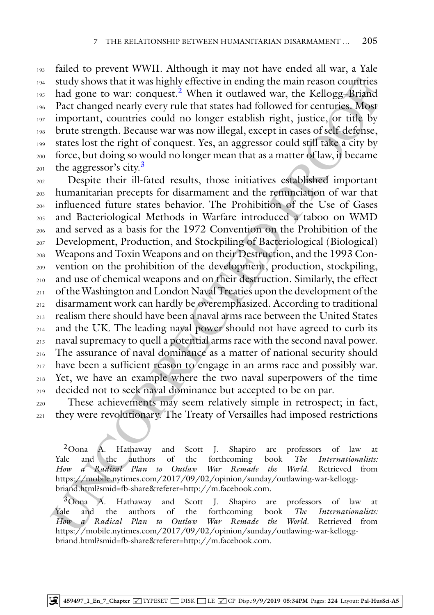failed to prevent WWII. Although it may not have ended all war, a Yale study shows that it was highly effective in ending the main reason countries had gone to war: conquest.<sup>[2](#page-6-0)</sup> When it outlawed war, the Kellogg–Briand Pact changed nearly every rule that states had followed for centuries. Most important, countries could no longer establish right, justice, or title by brute strength. Because war was now illegal, except in cases of self-defense, states lost the right of conquest. Yes, an aggressor could still take a city by force, but doing so would no longer mean that as a matter of law, it became 201 the aggressor's city.<sup>3</sup>

study shows that it was highly effective in ending the main reason courties. The had gone to war: conquest<sup>2</sup> When it outlawed war, the Kellogg-Etiand Pact changed nearly every rule that states had followed for centuries. Despite their ill-fated results, those initiatives established important humanitarian precepts for disarmament and the renunciation of war that influenced future states behavior. The Prohibition of the Use of Gases and Bacteriological Methods in Warfare introduced a taboo on WMD and served as a basis for the 1972 Convention on the Prohibition of the Development, Production, and Stockpiling of Bacteriological (Biological) Weapons and Toxin Weapons and on their Destruction, and the 1993 Con- vention on the prohibition of the development, production, stockpiling, and use of chemical weapons and on their destruction. Similarly, the effect of the Washington and London Naval Treaties upon the development of the disarmament work can hardly be overemphasized. According to traditional  $_{213}$  realism there should have been a naval arms race between the United States and the UK. The leading naval power should not have agreed to curb its naval supremacy to quell a potential arms race with the second naval power. The assurance of naval dominance as a matter of national security should have been a sufficient reason to engage in an arms race and possibly war. Yet, we have an example where the two naval superpowers of the time decided not to seek naval dominance but accepted to be on par.

 These achievements may seem relatively simple in retrospect; in fact, they were revolutionary. The Treaty of Versailles had imposed restrictions

<span id="page-6-0"></span>2Oona A. Hathaway and Scott J. Shapiro are professors of law at Yale and the authors of the forthcoming book *The Internationalists: How a Radical Plan to Outlaw War Remade the World*. Retrieved from https://mobile.nytimes.com/2017/09/02/opinion/sunday/outlawing-war-kelloggbriand.html?smid=fb-share&referer=http://m.facebook.com.

<span id="page-6-1"></span>3Oona A. Hathaway and Scott J. Shapiro are professors of law at Yale and the authors of the forthcoming book *The Internationalists: How a Radical Plan to Outlaw War Remade the World*. Retrieved from https://mobile.nytimes.com/2017/09/02/opinion/sunday/outlawing-war-kelloggbriand.html?smid=fb-share&referer=http://m.facebook.com.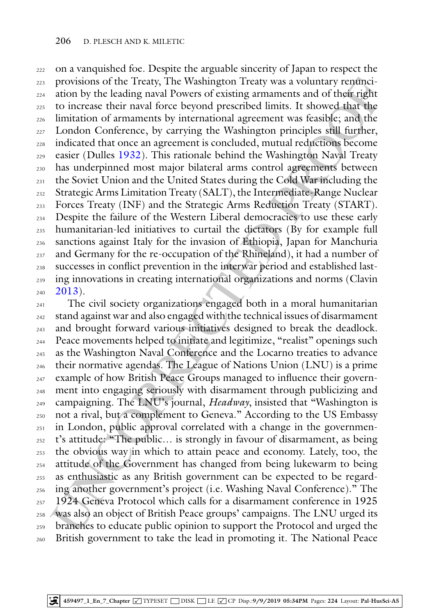on a vanquished foe. Despite the arguable sincerity of Japan to respect the provisions of the Treaty, The Washington Treaty was a voluntary renunci- ation by the leading naval Powers of existing armaments and of their right to increase their naval force beyond prescribed limits. It showed that the limitation of armaments by international agreement was feasible; and the London Conference, by carrying the Washington principles still further, indicated that once an agreement is concluded, mutual reductions become easier (Dulles [1932\)](#page-23-4). This rationale behind the Washington Naval Treaty has underpinned most major bilateral arms control agreements between 231 the Soviet Union and the United States during the Cold War including the Strategic Arms Limitation Treaty (SALT), the Intermediate-Range Nuclear Forces Treaty (INF) and the Strategic Arms Reduction Treaty (START). Despite the failure of the Western Liberal democracies to use these early humanitarian-led initiatives to curtail the dictators (By for example full sanctions against Italy for the invasion of Ethiopia, Japan for Manchuria and Germany for the re-occupation of the Rhineland), it had a number of successes in conflict prevention in the interwar period and established last- ing innovations in creating international organizations and norms (Clavin  $240 \quad 2013$ ).

provisions of the Treaty, The Washington Treaty was a voluntary reguined<br>not by the leading mayal Powers of existing armaments and of their right<br>to increase their mayal Powers of existing armaments and of their right<br>to The civil society organizations engaged both in a moral humanitarian stand against war and also engaged with the technical issues of disarmament and brought forward various initiatives designed to break the deadlock. Peace movements helped to initiate and legitimize, "realist" openings such as the Washington Naval Conference and the Locarno treaties to advance their normative agendas. The League of Nations Union (LNU) is a prime example of how British Peace Groups managed to influence their govern- ment into engaging seriously with disarmament through publicizing and campaigning. The LNU's journal, *Headway*, insisted that "Washington is not a rival, but a complement to Geneva." According to the US Embassy in London, public approval correlated with a change in the governmen- t's attitude: "The public… is strongly in favour of disarmament, as being the obvious way in which to attain peace and economy. Lately, too, the attitude of the Government has changed from being lukewarm to being as enthusiastic as any British government can be expected to be regard- ing another government's project (i.e. Washing Naval Conference)." The 1924 Geneva Protocol which calls for a disarmament conference in 1925 was also an object of British Peace groups' campaigns. The LNU urged its <sup>259</sup> branches to educate public opinion to support the Protocol and urged the British government to take the lead in promoting it. The National Peace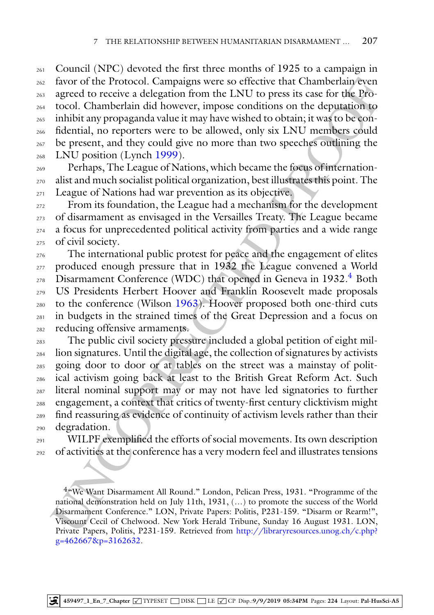Council (NPC) devoted the first three months of 1925 to a campaign in favor of the Protocol. Campaigns were so effective that Chamberlain even agreed to receive a delegation from the LNU to press its case for the Pro- tocol. Chamberlain did however, impose conditions on the deputation to inhibit any propaganda value it may have wished to obtain; it was to be con- fidential, no reporters were to be allowed, only six LNU members could be present, and they could give no more than two speeches outlining the LNU position (Lynch [1999\)](#page-23-7).

 Perhaps, The League of Nations, which became the focus of internation- alist and much socialist political organization, best illustrates this point. The League of Nations had war prevention as its objective.

 From its foundation, the League had a mechanism for the development of disarmament as envisaged in the Versailles Treaty. The League became a focus for unprecedented political activity from parties and a wide range of civil society.

 The international public protest for peace and the engagement of elites produced enough pressure that in 1932 the League convened a World  $_{278}$  Disarmament Conference (WDC) that opened in Geneva in 1932.<sup>[4](#page-8-0)</sup> Both US Presidents Herbert Hoover and Franklin Roosevelt made proposals to the conference (Wilson 1963). Hoover proposed both one-third cuts in budgets in the strained times of the Great Depression and a focus on reducing offensive armaments.

fivor of the Protocol. [C](#page-23-8)ampaigns were so effective that Chambelrainy even the protocol. Chamberlain did however, impose conditions on the deputation to inhibit any propaganda value it may have wished to obtain; it was fol The public civil society pressure included a global petition of eight mil- lion signatures. Until the digital age, the collection of signatures by activists going door to door or at tables on the street was a mainstay of polit- ical activism going back at least to the British Great Reform Act. Such literal nominal support may or may not have led signatories to further engagement, a context that critics of twenty-first century clicktivism might find reassuring as evidence of continuity of activism levels rather than their degradation.

<sup>291</sup> WILPF exemplified the efforts of social movements. Its own description of activities at the conference has a very modern feel and illustrates tensions

<span id="page-8-0"></span>4"We Want Disarmament All Round." London, Pelican Press, 1931. "Programme of the national demonstration held on July 11th, 1931, (…) to promote the success of the World Disarmament Conference." LON, Private Papers: Politis, P231-159. "Disarm or Rearm!", Viscount Cecil of Chelwood. New York Herald Tribune, Sunday 16 August 1931. LON, Private Papers, Politis, P231-159. Retrieved from http:/[/libraryresources.unog.ch/c.php?](http://libraryresources.unog.ch/c.php?g=462667&p=3162632) [g=462667&p=3162632.](http://libraryresources.unog.ch/c.php?g=462667&p=3162632)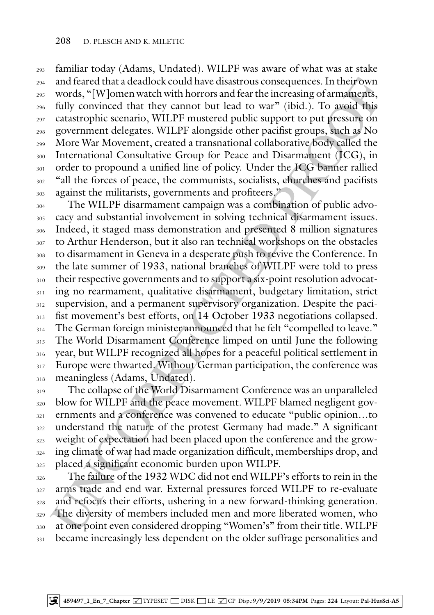familiar today (Adams, Undated). WILPF was aware of what was at stake and feared that a deadlock could have disastrous consequences. In their own words, "[W]omen watch with horrors and fear the increasing of armaments, fully convinced that they cannot but lead to war" (ibid.). To avoid this catastrophic scenario, WILPF mustered public support to put pressure on government delegates. WILPF alongside other pacifist groups, such as No More War Movement, created a transnational collaborative body called the International Consultative Group for Peace and Disarmament (ICG), in order to propound a unified line of policy. Under the ICG banner rallied <sup>302</sup> "all the forces of peace, the communists, socialists, churches and pacifists against the militarists, governments and profiteers."

and feared that a deadlock could have dissert<br>ous word, "All pipower words, "It diepty on words, "If Women watch with horrors and fear the increasing of armangents, fully convinced that they cannot but lead to war" (ibid. The WILPF disarmament campaign was a combination of public advo- cacy and substantial involvement in solving technical disarmament issues. Indeed, it staged mass demonstration and presented 8 million signatures to Arthur Henderson, but it also ran technical workshops on the obstacles to disarmament in Geneva in a desperate push to revive the Conference. In the late summer of 1933, national branches of WILPF were told to press their respective governments and to support a six-point resolution advocat- ing no rearmament, qualitative disarmament, budgetary limitation, strict supervision, and a permanent supervisory organization. Despite the paci- fist movement's best efforts, on 14 October 1933 negotiations collapsed. The German foreign minister announced that he felt "compelled to leave." The World Disarmament Conference limped on until June the following year, but WILPF recognized all hopes for a peaceful political settlement in Europe were thwarted. Without German participation, the conference was meaningless (Adams, Undated).

 The collapse of the World Disarmament Conference was an unparalleled blow for WILPF and the peace movement. WILPF blamed negligent gov- ernments and a conference was convened to educate "public opinion…to understand the nature of the protest Germany had made." A significant weight of expectation had been placed upon the conference and the grow- ing climate of war had made organization difficult, memberships drop, and placed a significant economic burden upon WILPF.

 $\overline{326}$  The failure of the 1932 WDC did not end WILPF's efforts to rein in the arms trade and end war. External pressures forced WILPF to re-evaluate and refocus their efforts, ushering in a new forward-thinking generation. The diversity of members included men and more liberated women, who at one point even considered dropping "Women's" from their title. WILPF <sup>331</sup> became increasingly less dependent on the older suffrage personalities and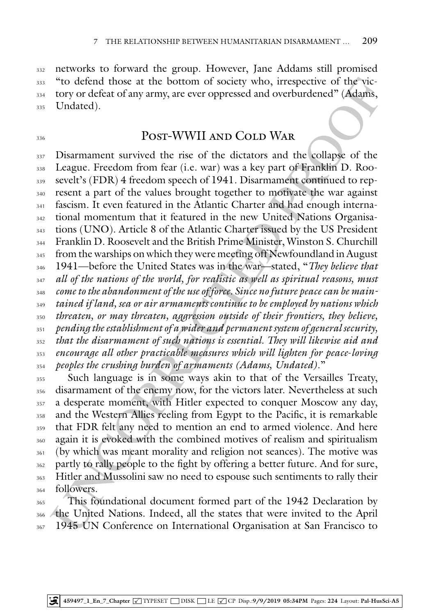networks to forward the group. However, Jane Addams still promised <sup>333</sup> "to defend those at the bottom of society who, irrespective of the vic- tory or defeat of any army, are ever oppressed and overburdened" (Adams, Undated).

# Post-WWII and Cold War

"to defead those at the bottom of society who, irrespective of the vic-<br>tory or defeat of any army, are ever oppressed and overburdened" (Adams,<br>Undated).<br>
DOST-WWII AND COLD WAR<br>
Disarmament survived the rise of the dict 337 Disarmament survived the rise of the dictators and the collapse of the League. Freedom from fear (i.e. war) was a key part of Franklin D. Roo- sevelt's (FDR) 4 freedom speech of 1941. Disarmament continued to rep- resent a part of the values brought together to motivate the war against fascism. It even featured in the Atlantic Charter and had enough interna- tional momentum that it featured in the new United Nations Organisa- tions (UNO). Article 8 of the Atlantic Charter issued by the US President Franklin D. Roosevelt and the British Prime Minister, Winston S. Churchill <sup>345</sup> from the warships on which they were meeting off Newfoundland in August 1941—before the United States was in the war—stated, "*They believe that all of the nations of the world, for realistic as well as spiritual reasons, must come to the abandonment of the use of force. Since no future peace can be main- tained if land, sea or air armaments continue to be employed by nations which threaten, or may threaten, aggression outside of their frontiers, they believe, pending the establishment of a wider and permanent system of general security, that the disarmament of such nations is essential. They will likewise aid and encourage all other practicable measures which will lighten for peace*-*loving peoples the crushing burden of armaments (Adams, Undated)*."

 Such language is in some ways akin to that of the Versailles Treaty, disarmament of the enemy now, for the victors later. Nevertheless at such a desperate moment, with Hitler expected to conquer Moscow any day, and the Western Allies reeling from Egypt to the Pacific, it is remarkable that FDR felt any need to mention an end to armed violence. And here again it is evoked with the combined motives of realism and spiritualism (by which was meant morality and religion not seances). The motive was <sup>362</sup> partly to rally people to the fight by offering a better future. And for sure, Hitler and Mussolini saw no need to espouse such sentiments to rally their followers.

<sup>365</sup> This foundational document formed part of the 1942 Declaration by the United Nations. Indeed, all the states that were invited to the April 1945 UN Conference on International Organisation at San Francisco to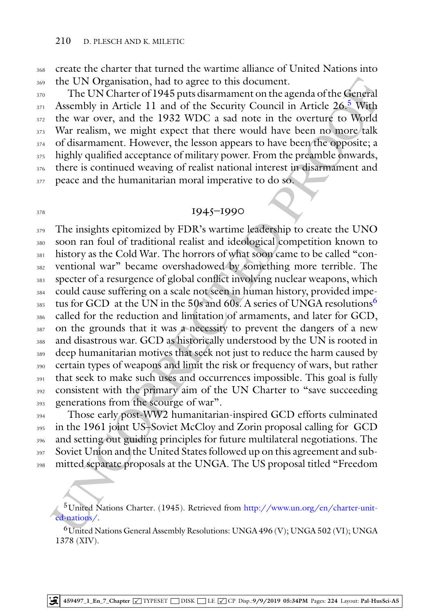<sup>368</sup> create the charter that turned the wartime alliance of United Nations into <sup>369</sup> the UN Organisation, had to agree to this document.

<sup>370</sup> The UN Charter of 1945 puts disarmament on the agenda of the General  $_{371}$  Assembly in Article 11 and of the Security Council in Article 26.<sup>5</sup> With <sup>372</sup> the war over, and the 1932 WDC a sad note in the overture to World <sup>373</sup> War realism, we might expect that there would have been no more talk 374 of disarmament. However, the lesson appears to have been the opposite; a <sup>375</sup> highly qualified acceptance of military power. From the preamble onwards, <sup>376</sup> there is continued weaving of realist national interest in disarmament and <sup>377</sup> peace and the humanitarian moral imperative to do so.

## <sup>378</sup> 1945–1990

the [U](http://www.un.org/en/charter-united-nations/)N Organisation, had to agree to this document.<br>The UN Chartrof (1945 puts disarmament on the agenda of the General<br>Assembly in Article 11 and of the Security Council in Article 26.<sup>5</sup> With<br>the war over, and the 1932 W <sup>379</sup> The insights epitomized by FDR's wartime leadership to create the UNO soon ran foul of traditional realist and ideological competition known to history as the Cold War. The horrors of what soon came to be called "con- ventional war" became overshadowed by something more terrible. The specter of a resurgence of global conflict involving nuclear weapons, which could cause suffering on a scale not seen in human history, provided impetus for GCD at the UN in the 50s and 60s. A series of UNGA resolutions<sup>6</sup> called for the reduction and limitation of armaments, and later for GCD, 387 on the grounds that it was a necessity to prevent the dangers of a new and disastrous war. GCD as historically understood by the UN is rooted in deep humanitarian motives that seek not just to reduce the harm caused by certain types of weapons and limit the risk or frequency of wars, but rather that seek to make such uses and occurrences impossible. This goal is fully consistent with the primary aim of the UN Charter to "save succeeding 393 generations from the scourge of war".

 Those early post-WW2 humanitarian-inspired GCD efforts culminated in the 1961 joint US–Soviet McCloy and Zorin proposal calling for GCD and setting out guiding principles for future multilateral negotiations. The Soviet Union and the United States followed up on this agreement and sub-mitted separate proposals at the UNGA. The US proposal titled "Freedom

<span id="page-11-1"></span>6United Nations General Assembly Resolutions: UNGA 496 (V); UNGA 502 (VI); UNGA 1378 (XIV).

<span id="page-11-0"></span><sup>5</sup>United Nations Charter. (1945). Retrieved from http:/[/www.un.org/en/charter-u](http://www.un.org/en/charter-united-nations/)nited-nations/.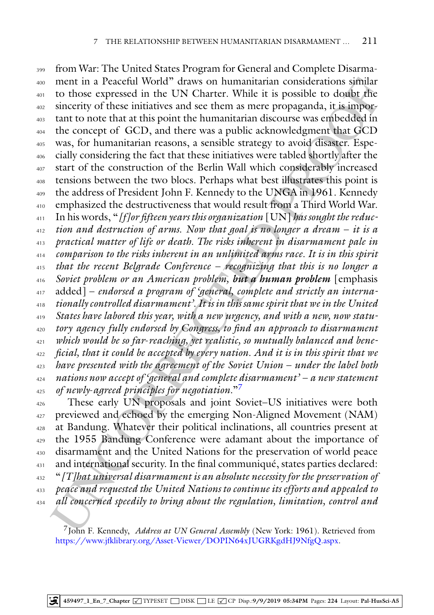ment in a Peacelli World' draws on humanitarian considerations similar<br>non-the and reaction of the UNC charge and section the sincerity of these initiatives and see them as mere propaganda, it is impre-<br>tant to note that from War: The United States Program for General and Complete Disarma- ment in a Peaceful World" draws on humanitarian considerations similar to those expressed in the UN Charter. While it is possible to doubt the sincerity of these initiatives and see them as mere propaganda, it is impor- tant to note that at this point the humanitarian discourse was embedded in the concept of GCD, and there was a public acknowledgment that GCD was, for humanitarian reasons, a sensible strategy to avoid disaster. Espe- cially considering the fact that these initiatives were tabled shortly after the start of the construction of the Berlin Wall which considerably increased tensions between the two blocs. Perhaps what best illustrates this point is the address of President John F. Kennedy to the UNGA in 1961. Kennedy emphasized the destructiveness that would result from a Third World War. In his words, "*[f]or fifteen years this organization* [UN] *has sought the reduc- tion and destruction of arms. Now that goal is no longer a dream* – *it is a practical matter of life or death. The risks inherent in disarmament pale in comparison to the risks inherent in an unlimited arms race. It is in this spirit that the recent Belgrade Conference* – *recognizing that this is no longer a Soviet problem or an American problem, but a human problem* [emphasis added] – *endorsed a program of 'general, complete and strictly an interna- tionally controlled disarmament'. It is in this same spirit that we in the United States have labored this year, with a new urgency, and with a new, now statu- tory agency fully endorsed by Congress, to find an approach to disarmament which would be so far*-*reaching, yet realistic, so mutually balanced and bene- ficial, that it could be accepted by every nation. And it is in this spirit that we have presented with the agreement of the Soviet Union* – *under the label both nations now accept of 'general and complete disarmament'* – *a new statement of newly*-*agreed principles for negotiation.*"<sup>7</sup>

 These early UN proposals and joint Soviet–US initiatives were both previewed and echoed by the emerging Non-Aligned Movement (NAM) at Bandung. Whatever their political inclinations, all countries present at the 1955 Bandung Conference were adamant about the importance of disarmament and the United Nations for the preservation of world peace and international security. In the final communiqué, states parties declared: "*[T]hat universal disarmament is an absolute necessity for the preservation of*

*peace and requested the United Nations to continue its efforts and appealed to*

*all concerned speedily to bring about the regulation, limitation, control and*

<span id="page-12-0"></span><sup>7</sup>John F. Kennedy, *Address at UN General Assembly* (New York: 1961). Retrieved from [https://www.jfklibrary.org/Asset-Viewer/DOPIN64xJUGRKgdHJ9NfgQ.aspx.](https://www.jfklibrary.org/Asset-Viewer/DOPIN64xJUGRKgdHJ9NfgQ.aspx)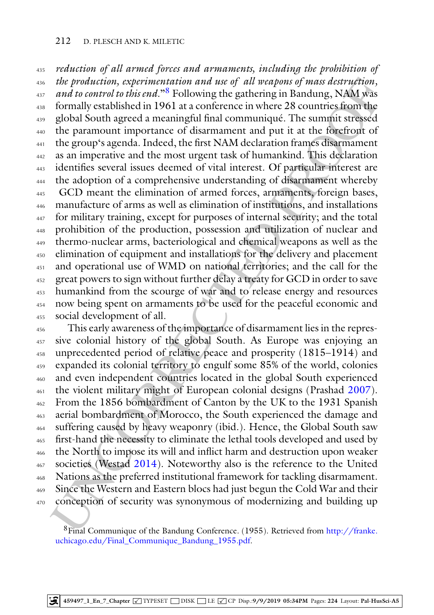#### 212 D. PLESCH AND K. MILETIC

the production, experimentation and use of all weapons of mass destruction, and a control to this end.<sup>98</sup> is bilowing the gathering in Bandung, NAM was formally established in 1961 at a conference in where 28 countries f *reduction of all armed forces and armaments, including the prohibition of the production, experimentation and use of all weapons of mass destruction,* and to control to this end.<sup>2[8](#page-13-0)</sup> Following the gathering in Bandung, NAM was formally established in 1961 at a conference in where 28 countries from the global South agreed a meaningful final communiqué. The summit stressed the paramount importance of disarmament and put it at the forefront of the group's agenda. Indeed, the first NAM declaration frames disarmament as an imperative and the most urgent task of humankind. This declaration identifies several issues deemed of vital interest. Of particular interest are the adoption of a comprehensive understanding of disarmament whereby GCD meant the elimination of armed forces, armaments, foreign bases, manufacture of arms as well as elimination of institutions, and installations for military training, except for purposes of internal security; and the total prohibition of the production, possession and utilization of nuclear and thermo-nuclear arms, bacteriological and chemical weapons as well as the elimination of equipment and installations for the delivery and placement and operational use of WMD on national territories; and the call for the great powers to sign without further delay a treaty for GCD in order to save humankind from the scourge of war and to release energy and resources now being spent on armaments to be used for the peaceful economic and social development of all.

 This early awareness of the importance of disarmament lies in the repres- sive colonial history of the global South. As Europe was enjoying an unprecedented period of relative peace and prosperity (1815–1914) and expanded its colonial territory to engulf some 85% of the world, colonies and even independent countries located in the global South experienced <sup>461</sup> the violent military might of European colonial designs (Prashad [2007\)](#page-23-9). From the 1856 bombardment of Canton by the UK to the 1931 Spanish aerial bombardment of Morocco, the South experienced the damage and suffering caused by heavy weaponry (ibid.). Hence, the Global South saw first-hand the necessity to eliminate the lethal tools developed and used by the North to impose its will and inflict harm and destruction upon weaker societies (Westad 2014). Noteworthy also is the reference to the United Nations as the preferred institutional framework for tackling disarmament. Since the Western and Eastern blocs had just begun the Cold War and their conception of security was synonymous of modernizing and building up

<span id="page-13-0"></span><sup>8</sup>Final Communique of the Bandung Conference. (1955). Retrieved from [http://franke.](http://franke.uchicago.edu/Final_Communique_Bandung_1955.pdf) [uchicago.edu/Final\\_Communique\\_Bandung\\_1955.pdf.](http://franke.uchicago.edu/Final_Communique_Bandung_1955.pdf)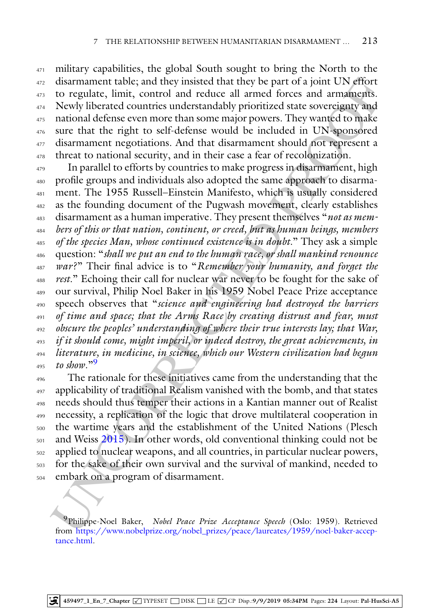military capabilities, the global South sought to bring the North to the 472 disarmament table; and they insisted that they be part of a joint UN effort to regulate, limit, control and reduce all armed forces and armaments. Newly liberated countries understandably prioritized state sovereignty and national defense even more than some major powers. They wanted to make sure that the right to self-defense would be included in UN-sponsored disarmament negotiations. And that disarmament should not represent a threat to national security, and in their case a fear of recolonization.

discurament table; and they insisted that they be part of a joint [U](https://www.nobelprize.org/nobel_prizes/peace/laureates/1959/noel-baker-acceptance.html)N effort of equalite, limit, control and reduce all armed forces and armangents.<br>Newly liberated countries understandably prioritized state sovereignty an In parallel to efforts by countries to make progress in disarmament, high profile groups and individuals also adopted the same approach to disarma- ment. The 1955 Russell–Einstein Manifesto, which is usually considered as the founding document of the Pugwash movement, clearly establishes disarmament as a human imperative. They present themselves "*not as mem- bers of this or that nation, continent, or creed, but as human beings, members of the species Man, whose continued existence is in doubt.*" They ask a simple question: "*shall we put an end to the human race, or shall mankind renounce war?*" Their final advice is to "*Remember your humanity, and forget the rest.*" Echoing their call for nuclear war never to be fought for the sake of our survival, Philip Noel Baker in his 1959 Nobel Peace Prize acceptance speech observes that "*science and engineering had destroyed the barriers of time and space; that the Arms Race by creating distrust and fear, must obscure the peoples' understanding of where their true interests lay; that War, if it should come, might imperil, or indeed destroy, the great achievements, in literature, in medicine, in science, which our Western civilization had begun*  $_{495}$  *to show*."<sup>9</sup>

 The rationale for these initiatives came from the understanding that the applicability of traditional Realism vanished with the bomb, and that states needs should thus temper their actions in a Kantian manner out of Realist necessity, a replication of the logic that drove multilateral cooperation in the wartime years and the establishment of the United Nations (Plesch  $_{501}$  and Weiss 2015). In other words, old conventional thinking could not be applied to nuclear weapons, and all countries, in particular nuclear powers, for the sake of their own survival and the survival of mankind, needed to embark on a program of disarmament.

<span id="page-14-0"></span>9Philippe-Noel Baker, *Nobel Peace Prize Acceptance Speech* (Oslo: 1959). Retrieved from https://www.nobelprize.org/nobel\_prizes/peace[/laureates/1959/noel-baker-a](https://www.nobelprize.org/nobel_prizes/peace/laureates/1959/noel-baker-acceptance.html)cceptance[.html.](https://www.nobelprize.org/nobel_prizes/peace/laureates/1959/noel-baker-acceptance.html)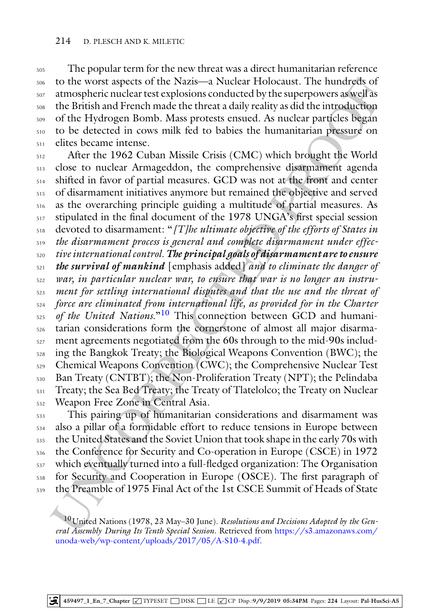The popular term for the new threat was a direct humanitarian reference to the worst aspects of the Nazis—a Nuclear Holocaust. The hundreds of atmospheric nuclear test explosions conducted by the superpowers as well as the British and French made the threat a daily reality as did the introduction of the Hydrogen Bomb. Mass protests ensued. As nuclear particles began to be detected in cows milk fed to babies the humanitarian pressure on elites became intense.

to the worst aspects of the Nazis—A Nuclear Holocaust. The hundreds of the superpowers as well<br>as atmospheric nuclear test explosions conducted by the superpowers as well<br>as the British and French made the threat a daily 512 After the 1962 Cuban Missile Crisis (CMC) which brought the World close to nuclear Armageddon, the comprehensive disarmament agenda shifted in favor of partial measures. GCD was not at the front and center of disarmament initiatives anymore but remained the objective and served as the overarching principle guiding a multitude of partial measures. As stipulated in the final document of the 1978 UNGA's first special session devoted to disarmament: "*[T]he ultimate objective of the efforts of States in the disarmament process is general and complete disarmament under effec- tive international control. The principal goals of disarmament are to ensure the survival of mankind* [emphasis added] *and to eliminate the danger of war, in particular nuclear war, to ensure that war is no longer an instru- ment for settling international disputes and that the use and the threat of force are eliminated from international life, as provided for in the Charter* <sup>525</sup> of the United Nations."<sup>10</sup> This connection between GCD and humani- tarian considerations form the cornerstone of almost all major disarma- ment agreements negotiated from the 60s through to the mid-90s includ- ing the Bangkok Treaty; the Biological Weapons Convention (BWC); the Chemical Weapons Convention (CWC); the Comprehensive Nuclear Test Ban Treaty (CNTBT); the Non-Proliferation Treaty (NPT); the Pelindaba Treaty; the Sea Bed Treaty; the Treaty of Tlatelolco; the Treaty on Nuclear Weapon Free Zone in Central Asia.

 This pairing up of humanitarian considerations and disarmament was also a pillar of a formidable effort to reduce tensions in Europe between the United States and the Soviet Union that took shape in the early 70s with the Conference for Security and Co-operation in Europe (CSCE) in 1972 which eventually turned into a full-fledged organization: The Organisation for Security and Cooperation in Europe (OSCE). The first paragraph of the Preamble of 1975 Final Act of the 1st CSCE Summit of Heads of State

<span id="page-15-0"></span>10United Nations (1978, 23 May–30 June). *Resolutions and Decisions Adopted by the General Assembly During Its Tenth Special Session*. Retrieved from [https://s3.amazonaws.com/](https://s3.amazonaws.com/unoda-web/wp-content/uploads/2017/05/A-S10-4.pdf) [unoda-web/wp-content/uploads/2017/05/A-S10-4.pdf.](https://s3.amazonaws.com/unoda-web/wp-content/uploads/2017/05/A-S10-4.pdf)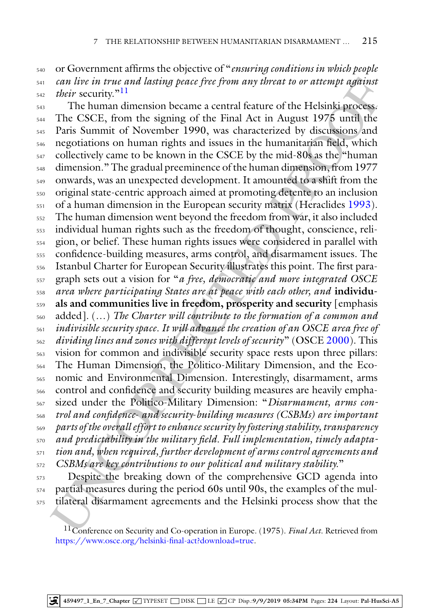or Government affirms the objective of "*ensuring conditions in which people can live in true and lasting peace free from any threat to or attempt against*  $<sub>542</sub>$  *their* security.<sup>"[11](#page-16-0)</sup></sub>

can live in three and lasting peace free from any threat to or attempt against<br>their security.<sup>w11</sup><br>The lumman dimension became a central feature of the Helsinki process.<br>The ISCE, from the signing of the Final Act in Ang The human dimension became a central feature of the Helsinki process. The CSCE, from the signing of the Final Act in August 1975 until the Paris Summit of November 1990, was characterized by discussions and negotiations on human rights and issues in the humanitarian field, which 547 collectively came to be known in the CSCE by the mid-80s as the "human dimension." The gradual preeminence of the human dimension, from 1977 onwards, was an unexpected development. It amounted to a shift from the original state-centric approach aimed at promoting detente to an inclusion of a human dimension in the European security matrix (Heraclides 1993). The human dimension went beyond the freedom from war, it also included individual human rights such as the freedom of thought, conscience, reli- gion, or belief. These human rights issues were considered in parallel with confidence-building measures, arms control, and disarmament issues. The Istanbul Charter for European Security illustrates this point. The first para- graph sets out a vision for "*a free, democratic and more integrated OSCE area where participating States are at peace with each other, and* **individu- als and communities live in freedom, prosperity and security** [emphasis added]. (…) *The Charter will contribute to the formation of a common and indivisible security space. It will advance the creation of an OSCE area free of dividing lines and zones with different levels of security*" (OSCE [2000\)](#page-23-13). This vision for common and indivisible security space rests upon three pillars: The Human Dimension, the Politico-Military Dimension, and the Eco- nomic and Environmental Dimension. Interestingly, disarmament, arms control and confidence and security building measures are heavily empha- sized under the Politico-Military Dimension: "*Disarmament, arms con- trol and confidence*- *and security*-*building measures (CSBMs) are important parts of the overall effort to enhance security by fostering stability, transparency and predictability in the military field. Full implementation, timely adapta- tion and, when required, further development of arms control agreements and CSBMs are key contributions to our political and military stability.*"

 Despite the breaking down of the comprehensive GCD agenda into partial measures during the period 60s until 90s, the examples of the mul-tilateral disarmament agreements and the Helsinki process show that the

<span id="page-16-0"></span>11Conference on Security and Co-operation in Europe. (1975). *Final Act*. Retrieved from [https://www.osce.org/helsinki-final-act?download=true.](https://www.osce.org/helsinki-final-act%3fdownload%3dtrue)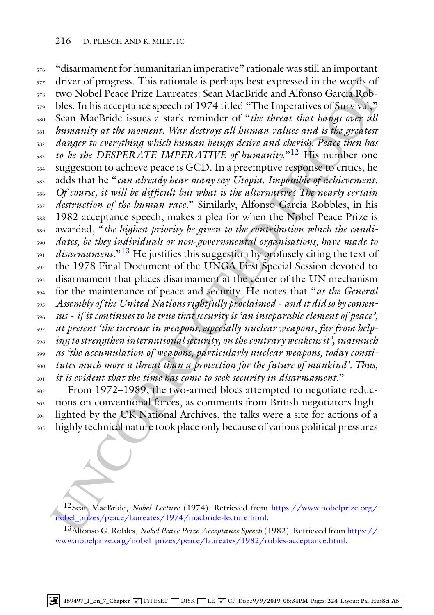#### 216 D. PLESCH AND K. MILETIC

driver of progress. This rationale is perhaps best expressed in the worst of the first<br>drawing states. This acceptance speech of 1974 titled "The Imperatives of Survival,"<br>Scan MacBride issues a stark encounter of "the thr "disarmament for humanitarian imperative" rationale was still an important driver of progress. This rationale is perhaps best expressed in the words of two Nobel Peace Prize Laureates: Sean MacBride and Alfonso Garcia Rob- bles. In his acceptance speech of 1974 titled "The Imperatives of Survival," Sean MacBride issues a stark reminder of "*the threat that hangs over all humanity at the moment. War destroys all human values and is the greatest danger to everything which human beings desire and cherish. Peace then has*  $\mu$ <sub>583</sub> to be the DESPERATE IMPERATIVE of humanity.<sup>"12</sup> His number one suggestion to achieve peace is GCD. In a preemptive response to critics, he adds that he "*can already hear many say Utopia. Impossible of achievement. Of course, it will be difficult but what is the alternative? The nearly certain destruction of the human race.*" Similarly, Alfonso Garcia Robbles, in his 1982 acceptance speech, makes a plea for when the Nobel Peace Prize is awarded, "*the highest priority be given to the contribution which the candi- dates, be they individuals or non*-*governmental organisations, have made to*  $\mu_{\text{591}}$  *disarmament.*<sup>"13</sup> He justifies this suggestion by profusely citing the text of the 1978 Final Document of the UNGA First Special Session devoted to disarmament that places disarmament at the center of the UN mechanism for the maintenance of peace and security. He notes that "*as the General Assembly of the United Nations rightfully proclaimed* - *and it did so by consen- sus* - *if it continues to be true that security is 'an inseparable element of peace', at present 'the increase in weapons, especially nuclear weapons, far from help- ing to strengthen international security, on the contrary weakens it', inasmuch as 'the accumulation of weapons, particularly nuclear weapons, today consti- tutes much more a threat than a protection for the future of mankind'. Thus, it is evident that the time has come to seek security in disarmament.*"

 From 1972–1989, the two-armed blocs attempted to negotiate reduc- tions on conventional forces, as comments from British negotiators high- lighted by the UK National Archives, the talks were a site for actions of a highly technical nature took place only because of various political pressures

<span id="page-17-0"></span>12Sean MacBride, *Nobel Lecture* (1974). Retrieved from [https://www.nobelprize.org/](https://www.nobelprize.org/nobel_prizes/peace/laureates/1974/macbride-lecture.html) nobel\_prizes/peace/laureates/1974/macbride-lecture.html.

<span id="page-17-1"></span>13Alfonso G. Robles, *Nobel Peace Prize Acceptance Speech* (1982). Retrieved from [https://](https://www.nobelprize.org/nobel_prizes/peace/laureates/1982/robles-acceptance.html) [www.nobelprize.org/nobel\\_prizes/peace/laureates/1982/robles-acceptance.html.](https://www.nobelprize.org/nobel_prizes/peace/laureates/1982/robles-acceptance.html)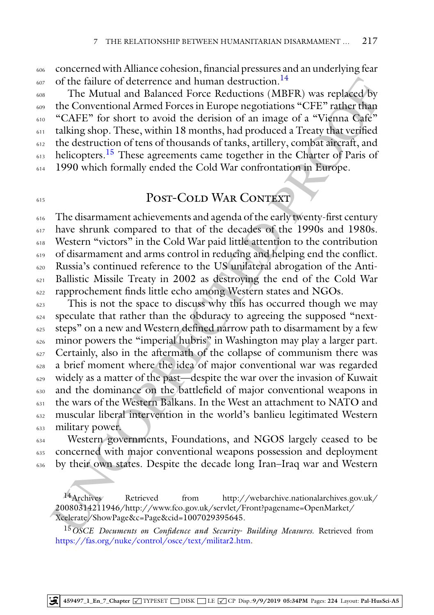concerned with Alliance cohesion, financial pressures and an underlying fear  $\mu_{607}$  of the failure of deterrence and human destruction.<sup>14</sup>

 The Mutual and Balanced Force Reductions (MBFR) was replaced by the Conventional Armed Forces in Europe negotiations "CFE" rather than "CAFE" for short to avoid the derision of an image of a "Vienna Cafe" talking shop. These, within 18 months, had produced a Treaty that verified the destruction of tens of thousands of tanks, artillery, combat aircraft, and  $h_{613}$  helicopters.<sup>15</sup> These agreements came together in the Charter of Paris of 1990 which formally ended the Cold War confrontation in Europe.

# 615 POST-COLD WAR CONTEXT

 The disarmament achievements and agenda of the early twenty-first century have shrunk compared to that of the decades of the 1990s and 1980s. Western "victors" in the Cold War paid little attention to the contribution of disarmament and arms control in reducing and helping end the conflict. Russia's continued reference to the US unilateral abrogation of the Anti- Ballistic Missile Treaty in 2002 as destroying the end of the Cold War rapprochement finds little echo among Western states and NGOs.

of the failure of determine and human destruction.<sup>143</sup><br>The Mutual and Balanced Forces Reductions (MBFR) was replaced by<br>the Conventional Armed Forces in Europe negotiations "CFE" rather than<br>"slking shop. These, within 1 <sup>623</sup> This is not the space to discuss why this has occurred though we may 624 speculate that rather than the obduracy to agreeing the supposed "next- steps" on a new and Western defined narrow path to disarmament by a few minor powers the "imperial hubris" in Washington may play a larger part. Certainly, also in the aftermath of the collapse of communism there was a brief moment where the idea of major conventional war was regarded widely as a matter of the past—despite the war over the invasion of Kuwait and the dominance on the battlefield of major conventional weapons in the wars of the Western Balkans. In the West an attachment to NATO and muscular liberal intervention in the world's banlieu legitimated Western military power.

 Western governments, Foundations, and NGOS largely ceased to be concerned with major conventional weapons possession and deployment by their own states. Despite the decade long Iran–Iraq war and Western

<span id="page-18-0"></span>14Archives Retrieved from http://webarchive.nationalarchives.gov.uk/ 20080314211946/http://www.fco.gov.uk/servlet/Front?pagename=OpenMarket/ Xcelerate/ShowPage&c=Page&cid=1007029395645.

<span id="page-18-1"></span>*OSCE Documents on Confidence and Security- Building Measures*. Retrieved from [https://fas.org/nuke/control/osce/text/militar2.htm.](https://fas.org/nuke/control/osce/text/militar2.htm)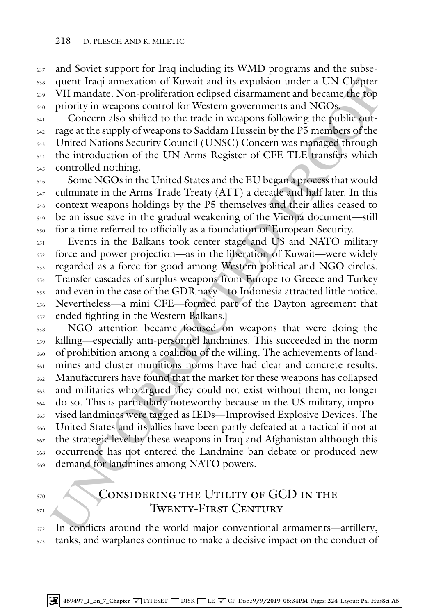and Soviet support for Iraq including its WMD programs and the subse- quent Iraqi annexation of Kuwait and its expulsion under a UN Chapter VII mandate. Non-proliferation eclipsed disarmament and became the top priority in weapons control for Western governments and NGOs.

 Concern also shifted to the trade in weapons following the public out- rage at the supply of weapons to Saddam Hussein by the P5 members of the United Nations Security Council (UNSC) Concern was managed through the introduction of the UN Arms Register of CFE TLE transfers which controlled nothing.

 Some NGOs in the United States and the EU began a process that would culminate in the Arms Trade Treaty (ATT) a decade and half later. In this context weapons holdings by the P5 themselves and their allies ceased to be an issue save in the gradual weakening of the Vienna document—still for a time referred to officially as a foundation of European Security.

 Events in the Balkans took center stage and US and NATO military force and power projection—as in the liberation of Kuwait—were widely regarded as a force for good among Western political and NGO circles. Transfer cascades of surplus weapons from Europe to Greece and Turkey and even in the case of the GDR navy—to Indonesia attracted little notice. Nevertheless—a mini CFE—formed part of the Dayton agreement that ended fighting in the Western Balkans.

quant Iraqi annexation of Kawaii and its expulsion under a UN Chipter Traqi annexation of Kawaii and its expulsion under a UN Chipter concern also shifted to the radio with respect the sumply of weaterm spectrals and NGO<sub></sub> NGO attention became focused on weapons that were doing the killing—especially anti-personnel landmines. This succeeded in the norm of prohibition among a coalition of the willing. The achievements of land- mines and cluster munitions norms have had clear and concrete results. Manufacturers have found that the market for these weapons has collapsed and militaries who argued they could not exist without them, no longer do so. This is particularly noteworthy because in the US military, impro- vised landmines were tagged as IEDs—Improvised Explosive Devices. The United States and its allies have been partly defeated at a tactical if not at the strategic level by these weapons in Iraq and Afghanistan although this occurrence has not entered the Landmine ban debate or produced new demand for landmines among NATO powers.

# **CONSIDERING THE UTILITY OF GCD IN THE** <sup>671</sup> TWENTY-FIRST CENTURY

 In conflicts around the world major conventional armaments—artillery, tanks, and warplanes continue to make a decisive impact on the conduct of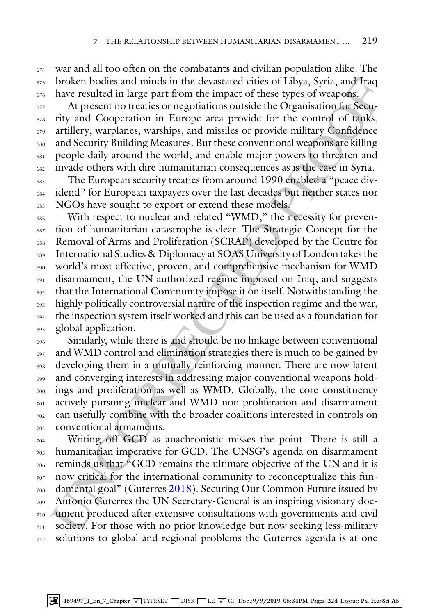war and all too often on the combatants and civilian population alike. The broken bodies and minds in the devastated cities of Libya, Syria, and Iraq have resulted in large part from the impact of these types of weapons.

 At present no treaties or negotiations outside the Organisation for Secu- rity and Cooperation in Europe area provide for the control of tanks, artillery, warplanes, warships, and missiles or provide military Confidence and Security Building Measures. But these conventional weapons are killing people daily around the world, and enable major powers to threaten and invade others with dire humanitarian consequences as is the case in Syria.

 The European security treaties from around 1990 enabled a "peace div- idend" for European taxpayers over the last decades but neither states nor NGOs have sought to export or extend these models.

broken bodies and minds in the devastated cites of Libya, Spria, and fract<br>phase resulted in large part from the impact of these types of veapons,<br>A recessor in Europea are provide for the control of make, a<br>A recessor in With respect to nuclear and related "WMD," the necessity for preven- tion of humanitarian catastrophe is clear. The Strategic Concept for the Removal of Arms and Proliferation (SCRAP) developed by the Centre for International Studies & Diplomacy at SOAS University of London takes the world's most effective, proven, and comprehensive mechanism for WMD disarmament, the UN authorized regime imposed on Iraq, and suggests that the International Community impose it on itself. Notwithstanding the highly politically controversial nature of the inspection regime and the war, the inspection system itself worked and this can be used as a foundation for global application.

 Similarly, while there is and should be no linkage between conventional and WMD control and elimination strategies there is much to be gained by developing them in a mutually reinforcing manner. There are now latent and converging interests in addressing major conventional weapons hold- ings and proliferation as well as WMD. Globally, the core constituency actively pursuing nuclear and WMD non-proliferation and disarmament can usefully combine with the broader coalitions interested in controls on conventional armaments.

 Writing off GCD as anachronistic misses the point. There is still a humanitarian imperative for GCD. The UNSG's agenda on disarmament reminds us that "GCD remains the ultimate objective of the UN and it is now critical for the international community to reconceptualize this fun- damental goal" (Guterres 2018). Securing Our Common Future issued by Antonio Guterres the UN Secretary-General is an inspiring visionary doc- ument produced after extensive consultations with governments and civil society. For those with no prior knowledge but now seeking less-military solutions to global and regional problems the Guterres agenda is at one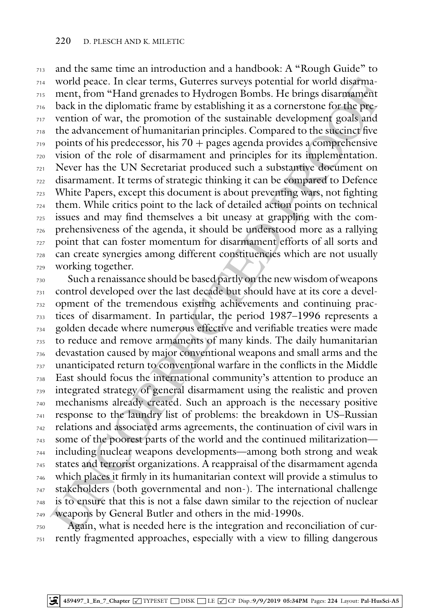and the same time an introduction and a handbook: A "Rough Guide" to world peace. In clear terms, Guterres surveys potential for world disarma- ment, from "Hand grenades to Hydrogen Bombs. He brings disarmament  $_{716}$  back in the diplomatic frame by establishing it as a cornerstone for the pre- vention of war, the promotion of the sustainable development goals and the advancement of humanitarian principles. Compared to the succinct five points of his predecessor, his 70 + pages agenda provides a comprehensive vision of the role of disarmament and principles for its implementation. Never has the UN Secretariat produced such a substantive document on disarmament. It terms of strategic thinking it can be compared to Defence White Papers, except this document is about preventing wars, not fighting them. While critics point to the lack of detailed action points on technical issues and may find themselves a bit uneasy at grappling with the com- prehensiveness of the agenda, it should be understood more as a rallying point that can foster momentum for disarmament efforts of all sorts and can create synergies among different constituencies which are not usually working together.

world desca. In clear terms, Guerres surveys potential for world disjurna-<br>ment, from "Hand grenades to Hydrogen Bomsb. He brings disarmanent<br>back in the diplomatic frame by establishing it as a cornerstone for the pre-<br>v Such a renaissance should be based partly on the new wisdom of weapons control developed over the last decade but should have at its core a devel- opment of the tremendous existing achievements and continuing prac- tices of disarmament. In particular, the period 1987–1996 represents a golden decade where numerous effective and verifiable treaties were made to reduce and remove armaments of many kinds. The daily humanitarian devastation caused by major conventional weapons and small arms and the unanticipated return to conventional warfare in the conflicts in the Middle East should focus the international community's attention to produce an integrated strategy of general disarmament using the realistic and proven mechanisms already created. Such an approach is the necessary positive response to the laundry list of problems: the breakdown in US–Russian relations and associated arms agreements, the continuation of civil wars in some of the poorest parts of the world and the continued militarization— including nuclear weapons developments—among both strong and weak states and terrorist organizations. A reappraisal of the disarmament agenda which places it firmly in its humanitarian context will provide a stimulus to stakeholders (both governmental and non-). The international challenge is to ensure that this is not a false dawn similar to the rejection of nuclear weapons by General Butler and others in the mid-1990s.

 Again, what is needed here is the integration and reconciliation of cur-rently fragmented approaches, especially with a view to filling dangerous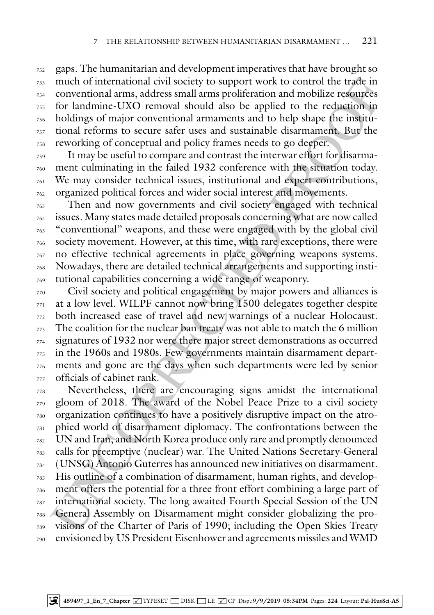gaps. The humanitarian and development imperatives that have brought so much of international civil society to support work to control the trade in conventional arms, address small arms proliferation and mobilize resources for landmine-UXO removal should also be applied to the reduction in holdings of major conventional armaments and to help shape the institu- tional reforms to secure safer uses and sustainable disarmament. But the reworking of conceptual and policy frames needs to go deeper.

 It may be useful to compare and contrast the interwar effort for disarma- ment culminating in the failed 1932 conference with the situation today. We may consider technical issues, institutional and expert contributions, organized political forces and wider social interest and movements.

 Then and now governments and civil society engaged with technical issues. Many states made detailed proposals concerning what are now called "conventional" weapons, and these were engaged with by the global civil society movement. However, at this time, with rare exceptions, there were no effective technical agreements in place governing weapons systems. Nowadays, there are detailed technical arrangements and supporting insti-tutional capabilities concerning a wide range of weaponry.

 Civil society and political engagement by major powers and alliances is at a low level. WILPF cannot now bring 1500 delegates together despite both increased ease of travel and new warnings of a nuclear Holocaust. The coalition for the nuclear ban treaty was not able to match the 6 million signatures of 1932 nor were there major street demonstrations as occurred in the 1960s and 1980s. Few governments maintain disarmament depart- ments and gone are the days when such departments were led by senior officials of cabinet rank.

much of international civil society to support work to control the track in<br>model model in society and amos profileration and mobilize resources<br>for landmine-UXO removal should also be applied to the reduction in<br>bioling Nevertheless, there are encouraging signs amidst the international gloom of 2018. The award of the Nobel Peace Prize to a civil society organization continues to have a positively disruptive impact on the atro- phied world of disarmament diplomacy. The confrontations between the UN and Iran, and North Korea produce only rare and promptly denounced calls for preemptive (nuclear) war. The United Nations Secretary-General (UNSG) Antonio Guterres has announced new initiatives on disarmament. His outline of a combination of disarmament, human rights, and develop- ment offers the potential for a three front effort combining a large part of international society. The long awaited Fourth Special Session of the UN General Assembly on Disarmament might consider globalizing the pro- visions of the Charter of Paris of 1990; including the Open Skies Treaty envisioned by US President Eisenhower and agreements missiles and WMD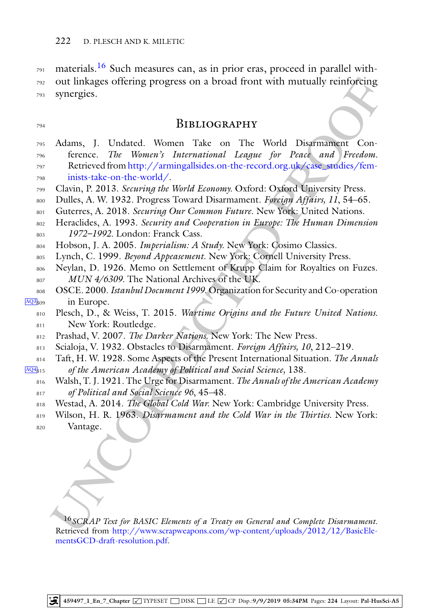$\frac{791}{791}$  materials.<sup>16</sup> Such measures can, as in prior eras, proceed in parallel with- out linkages offering progress on a broad front with mutually reinforcing synergies.

## <sup>794</sup> BIBLIOGRAPHY

out linkages offering progress on a broad front with mutually reinforcing<br>synergies.<br> **EIFLIOGRAPHY**<br>
Adams, J. Undated. Women Take on The World Distrimantent Con-<br>
ference. The Women's International League for Pace and Pr Adams, J. Undated. Women Take on The World Disarmament Con- ference. *The Women's International League for Peace and Freedom.* Retrieved from [http://armingallsides.on-the-record.org.uk/case\\_studies/](http://armingallsides.on-the-record.org.uk/case_studies/feminists-take-on-the-world/)fem-inists[-take-on-the-world/.](http://armingallsides.on-the-record.org.uk/case_studies/feminists-take-on-the-world/)

- <span id="page-23-6"></span>Clavin, P. 2013. *Securing the World Economy.* Oxford: Oxford University Press.
- <span id="page-23-4"></span>Dulles, A. W. 1932. Progress Toward Disarmament. *Foreign Affairs, 11*, 54–65.
- <span id="page-23-14"></span>Guterres, A. 2018. *Securing Our Common Future*. New York: United Nations.
- <span id="page-23-12"></span> Heraclides, A. 1993. *Security and Cooperation in Europe: The Human Dimension 1972–1992.* London: Franck Cass.
- <span id="page-23-0"></span>Hobson, J. A. 2005. *Imperialism: A Study.* New York: Cosimo Classics.
- <span id="page-23-7"></span>Lynch, C. 1999. *Beyond Appeasement.* New York: Cornell University Press.
- <span id="page-23-1"></span> Neylan, D. 1926. Memo on Settlement of Krupp Claim for Royalties on Fuzes. *MUN 4/6309.* The National Archives of the UK.
- <span id="page-23-16"></span><span id="page-23-13"></span><span id="page-23-11"></span> OSCE. 2000. *Istanbul Document 1999*. Organization for Security and Co-operation  $AQ3_{809}$  $AQ3_{809}$  in Europe.
	- Plesch, D., & Weiss, T. 2015. *Wartime Origins and the Future United Nations.* 811 New York: Routledge.
	- Prashad, V. 2007. *The Darker Nations.* New York: The New Press.
	- Scialoja, V. 1932. Obstacles to Disarmament. *Foreign Affairs, 10*, 212–219.
- <span id="page-23-17"></span><span id="page-23-10"></span><span id="page-23-9"></span><span id="page-23-8"></span><span id="page-23-5"></span><span id="page-23-3"></span><span id="page-23-2"></span> Taft, H. W. 1928. Some Aspects of the Present International Situation. *The Annals* [AQ4](#page-26-3)<sup>815</sup> *of the American Academy of Political and Social Science,* 138.
	- Walsh, T. J. 1921. The Urge for Disarmament. *The Annals of the American Academy of Political and Social Science 96*, 45–48.
	- Westad, A. 2014. *The Global Cold War.* New York: Cambridge University Press.
	- Wilson, H. R. 1963. *Disarmament and the Cold War in the Thirties.* New York: Vantage.

<span id="page-23-15"></span>*SCRAP Text for BASIC Elements of a Treaty on General and Complete Disarmament*. Retrieved from http://www.scrapweapons.com/wp-content[/uploads/2012/12/B](http://www.scrapweapons.com/wp-content/uploads/2012/12/BasicElementsGCD-draft-resolution.pdf)asicElementsGCD[-draft-resolution.pdf.](http://www.scrapweapons.com/wp-content/uploads/2012/12/BasicElementsGCD-draft-resolution.pdf)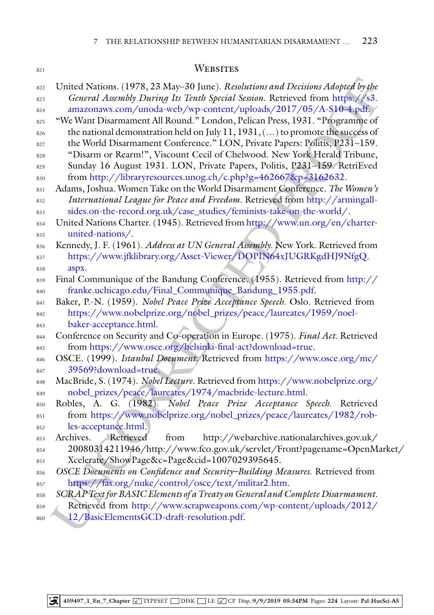| 821        | <b>WEBSITES</b>                                                                                                                                         |
|------------|---------------------------------------------------------------------------------------------------------------------------------------------------------|
| 822        | United Nations. (1978, 23 May-30 June). Resolutions and Decisions Adopted by the                                                                        |
| 823        | General Assembly During Its Tenth Special Session. Retrieved from https://s3.                                                                           |
| 824        | amazonaws.com/unoda-web/wp-content/uploads/2017/05/A-S10-4.pdf.                                                                                         |
| 825        | "We Want Disarmament All Round." London, Pelican Press, 1931. "Programme of                                                                             |
| 826        | the national demonstration held on July 11, 1931, $()$ to promote the success of                                                                        |
| 827        | the World Disarmament Conference." LON, Private Papers: Politis, P231-159.                                                                              |
| 828        | "Disarm or Rearm!", Viscount Cecil of Chelwood. New York Herald Tribune,                                                                                |
| 829        | Sunday 16 August 1931. LON, Private Papers, Politis, P231-159. RetriEved                                                                                |
| 830        | from http://libraryresources.unog.ch/c.php?g=462667&p=3162632.                                                                                          |
| 831        | Adams, Joshua. Women Take on the World Disarmament Conference. The Women's                                                                              |
| 832        | International League for Peace and Freedom. Retrieved from http://armingall-                                                                            |
| 833        | sides.on-the-record.org.uk/case_studies/feminists-take-on-the-world/.                                                                                   |
| 834        | United Nations Charter. (1945). Retrieved from http://www.un.org/en/charter-                                                                            |
| 835        | united-nations/.                                                                                                                                        |
| 836        | Kennedy, J. F. (1961). Address at UN General Assembly. New York. Retrieved from                                                                         |
| 837        | https://www.jfklibrary.org/Asset-Viewer/DOPIN64xJUGRKgdHJ9NfgQ.                                                                                         |
| 838        | aspx.                                                                                                                                                   |
| 839        | Final Communique of the Bandung Conference. (1955). Retrieved from http://                                                                              |
| 840        | franke.uchicago.edu/Final_Communique_Bandung_1955.pdf.                                                                                                  |
| 841        | Baker, P.-N. (1959). Nobel Peace Prize Acceptance Speech. Oslo. Retrieved from                                                                          |
| 842        | https://www.nobelprize.org/nobel_prizes/peace/laureates/1959/noel-                                                                                      |
| 843        | baker-acceptance.html.                                                                                                                                  |
| 844        | Conference on Security and Co-operation in Europe. (1975). Final Act. Retrieved                                                                         |
| 845        | from https://www.osce.org/helsinki-final-act?download=true.                                                                                             |
| 846        | OSCE. (1999). Istanbul Document. Retrieved from https://www.osce.org/mc/                                                                                |
| 847        | 39569?download=true.                                                                                                                                    |
| 848        | MacBride, S. (1974). Nobel Lecture. Retrieved from https://www.nobelprize.org/                                                                          |
| 849        | nobel_prizes/peace/laureates/1974/macbride-lecture.html.                                                                                                |
| 850        | Robles, A. G. (1982). Nobel Peace Prize Acceptance Speech. Retrieved                                                                                    |
| 851        | from https://www.nobelprize.org/nobel_prizes/peace/laureates/1982/rob-                                                                                  |
| 852        | les-acceptance.html.                                                                                                                                    |
| 853        | Retrieved<br>http://webarchive.nationalarchives.gov.uk/<br>Archives.<br>from<br>20080314211946/http://www.fco.gov.uk/servlet/Front?pagename=OpenMarket/ |
| 854        | Xcelerate/ShowPage&c=Page&cid=1007029395645.                                                                                                            |
| 855        | OSCE Documents on Confidence and Security-Building Measures. Retrieved from                                                                             |
| 856        | https://fas.org/nuke/control/osce/text/militar2.htm.                                                                                                    |
| 857        | SCRAP Text for BASIC Elements of a Treaty on General and Complete Disarmament.                                                                          |
| 858<br>859 | Retrieved from http://www.scrapweapons.com/wp-content/uploads/2012/                                                                                     |
| 860        | 12/BasicElementsGCD-draft-resolution.pdf.                                                                                                               |
|            |                                                                                                                                                         |
|            |                                                                                                                                                         |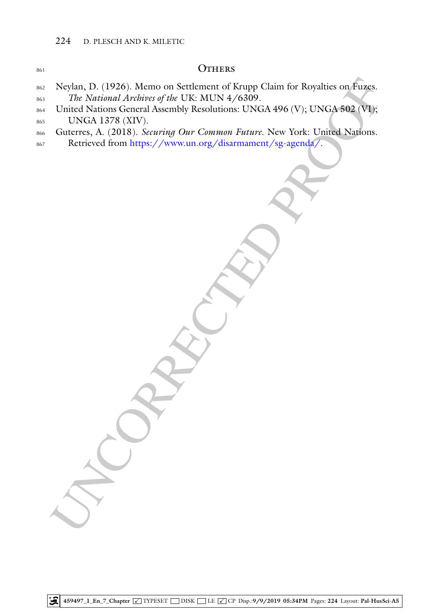#### 224 D. PLESCH AND K. MILETIC

### <span id="page-25-0"></span>861 **OTHERS**

- 862 Neylan, D. (1926). Memo on Settlement of Krupp Claim for Royalties on Fuzes.
- <sup>863</sup> *The National Archives of the* UK: MUN 4/6309.
- Neylan, D. (1926). Memo on Settlement of Krupp Claim for Royalties on Fuzes.<br>
The Matemal Archives of the UK. MUNA 4/6809.<br>
Uniced Nations General Assembly Resolutions: UNGA 496 (V); UNGA-802 (VI);<br>
UNC[O](https://www.un.org/disarmament/sg-agenda/)R 1378 (XUV).<br>
Curr 864 United Nations General Assembly Resolutions: UNGA 496 (V); UNGA 502 (VI); <sup>865</sup> UNGA 1378 (XIV).
- <sup>866</sup> Guterres, A. (2018). *Securing Our Common Future*. New York: United Nations.
- <sup>867</sup> Retrieved from [https://www.un.org/disarmament/s](https://www.un.org/disarmament/sg-agenda/)g-agenda/.

Э **459497\_1\_En\_7\_Chapter** |∠ TYPESET |\_\_| DISK |\_\_| LE |∠| CP Disp.:**9/9/2019 05:34PM** Pages: **[224](#page-25-0)** Layout: **Pal-HusSci-A5**